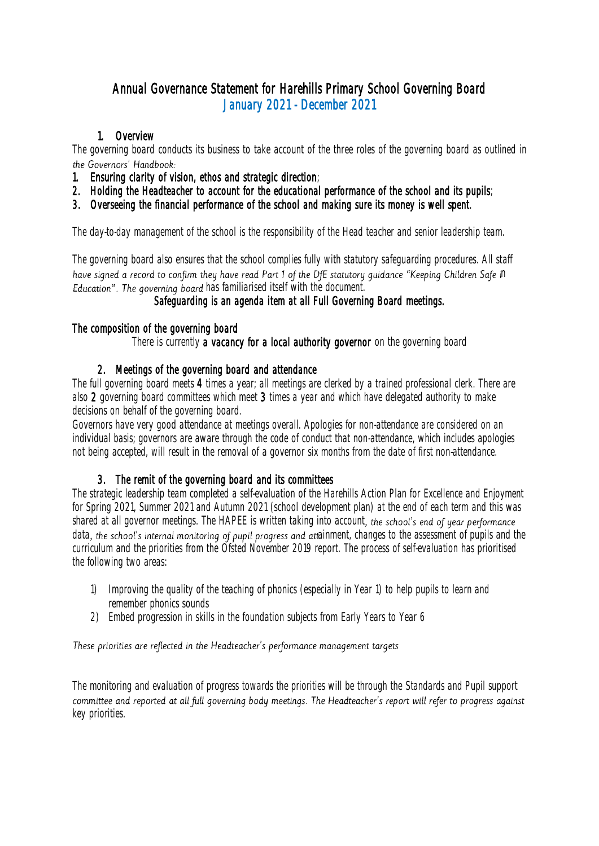# Annual Governance Statement for Harehills Primary School Governing Board January 2021 - December 2021

## 1. Overview

The governing board conducts its business to take account of the three roles of the governing board as outlined in the Governors' Handbook:

- 1. Ensuring clarity of vision, ethos and strategic direction;
- 2. Holding the Headteacher to account for the educational performance of the school and its pupils;
- 3. Overseeing the financial performance of the school and making sure its money is well spent.

The day-to-day management of the school is the responsibility of the Head teacher and senior leadership team.

The governing board also ensures that the school complies fully with statutory safeguarding procedures. All staff have signed a record to confirm they have read Part 1 of the DfE statutory quidance "Keeping Children Safe in Education". The governing board has familiarised itself with the document.

## Safeguarding is an agenda item at all Full Governing Board meetings.

#### The composition of the governing board

There is currently a vacancy for a local authority governor on the governing board

### 2. Meetings of the governing board and attendance

The full governing board meets 4 times a year; all meetings are clerked by a trained professional clerk. There are also 2 governing board committees which meet 3 times a year and which have delegated authority to make decisions on behalf of the governing board.

Governors have very good attendance at meetings overall. Apologies for non-attendance are considered on an individual basis; governors are aware through the code of conduct that non-attendance, which includes apologies not being accepted, will result in the removal of a governor six months from the date of first non-attendance.

## 3. The remit of the governing board and its committees

The strategic leadership team completed a self-evaluation of the Harehills Action Plan for Excellence and Enjoyment for Spring 2021, Summer 2021 and Autumn 2021 (school development plan) at the end of each term and this was shared at all governor meetings. The HAPEE is written taking into account, the school's end of year performance data, the school's internal monitoring of pupil progress and attainment, changes to the assessment of pupils and the curriculum and the priorities from the Ofsted November 2019 report. The process of self-evaluation has prioritised the following two areas:

- 1) Improving the quality of the teaching of phonics (especially in Year 1) to help pupils to learn and remember phonics sounds
- 2) Embed progression in skills in the foundation subjects from Early Years to Year 6

#### These priorities are reflected in the Headteacher's performance management targets

The monitoring and evaluation of progress towards the priorities will be through the Standards and Pupil support committee and reported at all full governing body meetings. The Headteacher's report will refer to progress against key priorities.